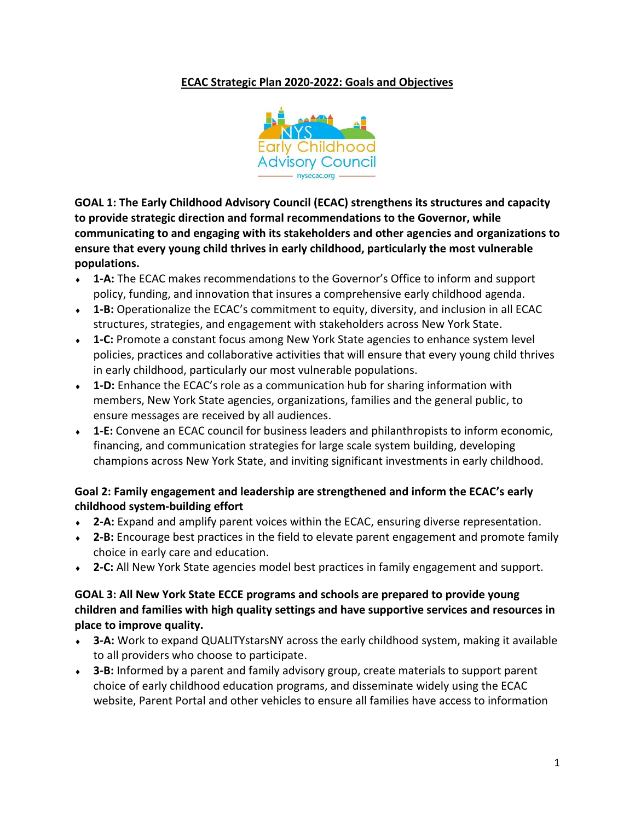# **ECAC Strategic Plan 2020-2022: Goals and Objectives**



**GOAL 1: The Early Childhood Advisory Council (ECAC) strengthens its structures and capacity to provide strategic direction and formal recommendations to the Governor, while communicating to and engaging with its stakeholders and other agencies and organizations to ensure that every young child thrives in early childhood, particularly the most vulnerable populations.**

- **1-A:** The ECAC makes recommendations to the Governor's Office to inform and support policy, funding, and innovation that insures a comprehensive early childhood agenda.
- **1-B:** Operationalize the ECAC's commitment to equity, diversity, and inclusion in all ECAC structures, strategies, and engagement with stakeholders across New York State.
- **1-C:** Promote a constant focus among New York State agencies to enhance system level policies, practices and collaborative activities that will ensure that every young child thrives in early childhood, particularly our most vulnerable populations.
- **1-D:** Enhance the ECAC's role as a communication hub for sharing information with members, New York State agencies, organizations, families and the general public, to ensure messages are received by all audiences.
- **1-E:** Convene an ECAC council for business leaders and philanthropists to inform economic, financing, and communication strategies for large scale system building, developing champions across New York State, and inviting significant investments in early childhood.

# **Goal 2: Family engagement and leadership are strengthened and inform the ECAC's early childhood system-building effort**

- **2-A:** Expand and amplify parent voices within the ECAC, ensuring diverse representation.
- **2-B:** Encourage best practices in the field to elevate parent engagement and promote family choice in early care and education.
- **2-C:** All New York State agencies model best practices in family engagement and support.

## **GOAL 3: All New York State ECCE programs and schools are prepared to provide young children and families with high quality settings and have supportive services and resources in place to improve quality.**

- **3-A:** Work to expand QUALITYstarsNY across the early childhood system, making it available to all providers who choose to participate.
- **3-B:** Informed by a parent and family advisory group, create materials to support parent choice of early childhood education programs, and disseminate widely using the ECAC website, Parent Portal and other vehicles to ensure all families have access to information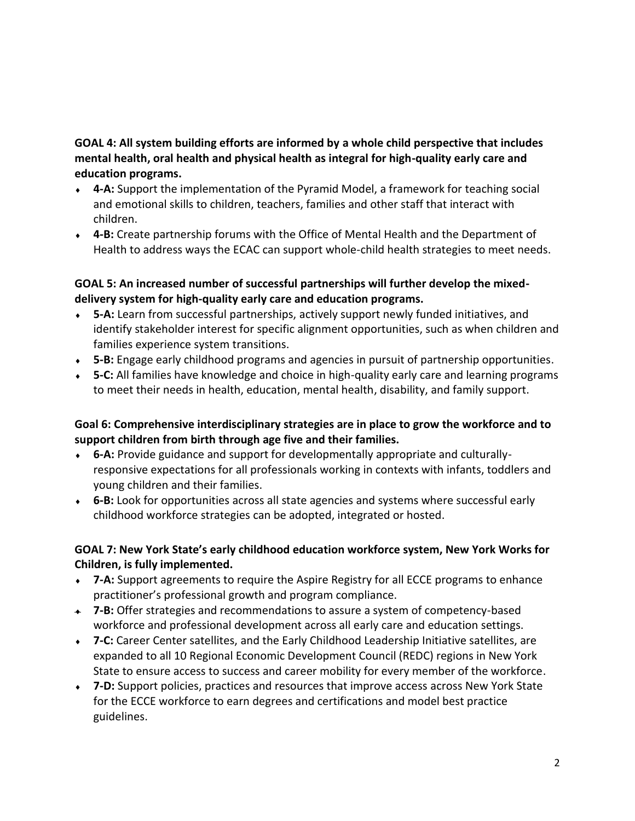**GOAL 4: All system building efforts are informed by a whole child perspective that includes mental health, oral health and physical health as integral for high-quality early care and education programs.**

- **4-A:** Support the implementation of the Pyramid Model, a framework for teaching social and emotional skills to children, teachers, families and other staff that interact with children.
- **4-B:** Create partnership forums with the Office of Mental Health and the Department of Health to address ways the ECAC can support whole-child health strategies to meet needs.

# **GOAL 5: An increased number of successful partnerships will further develop the mixeddelivery system for high-quality early care and education programs.**

- **5-A:** Learn from successful partnerships, actively support newly funded initiatives, and identify stakeholder interest for specific alignment opportunities, such as when children and families experience system transitions.
- **5-B:** Engage early childhood programs and agencies in pursuit of partnership opportunities.
- **5-C:** All families have knowledge and choice in high-quality early care and learning programs to meet their needs in health, education, mental health, disability, and family support.

# **Goal 6: Comprehensive interdisciplinary strategies are in place to grow the workforce and to support children from birth through age five and their families.**

- **6-A:** Provide guidance and support for developmentally appropriate and culturallyresponsive expectations for all professionals working in contexts with infants, toddlers and young children and their families.
- **6-B:** Look for opportunities across all state agencies and systems where successful early childhood workforce strategies can be adopted, integrated or hosted.

# **GOAL 7: New York State's early childhood education workforce system, New York Works for Children, is fully implemented.**

- **7-A:** Support agreements to require the Aspire Registry for all ECCE programs to enhance practitioner's professional growth and program compliance.
- **7-B:** Offer strategies and recommendations to assure a system of competency-based workforce and professional development across all early care and education settings.
- **7-C:** Career Center satellites, and the Early Childhood Leadership Initiative satellites, are expanded to all 10 Regional Economic Development Council (REDC) regions in New York State to ensure access to success and career mobility for every member of the workforce.
- **7-D:** Support policies, practices and resources that improve access across New York State for the ECCE workforce to earn degrees and certifications and model best practice guidelines.